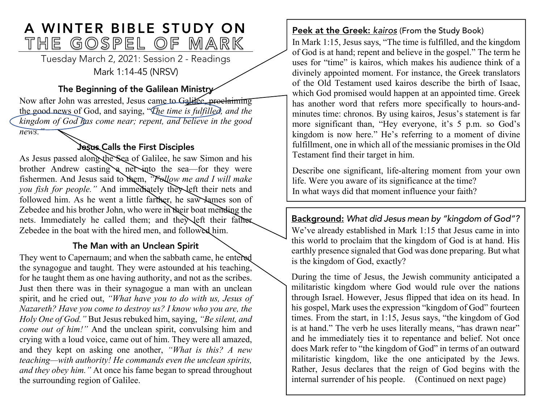# A WINTER BIBLE STUDY ON<br>THE GOSPEL OF MARK

Tuesday March 2, 2021: Session 2 - Readings Mark 1:14-45 (NRSV)

### The Beginning of the Galilean Ministry

Now after John was arrested, Jesus came to Galilee, proclaiming the good news of God, and saying, "*The time is fulfilled, and the kingdom of God has come near; repent, and believe in the good news."*

### Jesus Calls the First Disciples

As Jesus passed along the Sea of Galilee, he saw Simon and his brother Andrew casting a net into the sea-for they were fishermen. And Jesus said to them, *"Follow me and I will make you fish for people."* And immediately they left their nets and followed him. As he went a little farther, he saw James son of Zebedee and his brother John, who were in their boat mending the nets. Immediately he called them; and they left their father Zebedee in the boat with the hired men, and followed him.

### The Man with an Unclean Spirit

They went to Capernaum; and when the sabbath came, he entered the synagogue and taught. They were astounded at his teaching, for he taught them as one having authority, and not as the scribes. Just then there was in their synagogue a man with an unclean spirit, and he cried out, *"What have you to do with us, Jesus of Nazareth? Have you come to destroy us? I know who you are, the Holy One of God."* But Jesus rebuked him, saying, *"Be silent, and come out of him!"* And the unclean spirit, convulsing him and crying with a loud voice, came out of him. They were all amazed, and they kept on asking one another, *"What is this? A new teaching—with authority! He commands even the unclean spirits, and they obey him."* At once his fame began to spread throughout the surrounding region of Galilee.

### Peek at the Greek: *kairos* (From the Study Book)

In Mark 1:15, Jesus says, "The time is fulfilled, and the kingdom of God is at hand; repent and believe in the gospel." The term he uses for "time" is kairos, which makes his audience think of a divinely appointed moment. For instance, the Greek translators of the Old Testament used kairos describe the birth of Isaac, which God promised would happen at an appointed time. Greek has another word that refers more specifically to hours-andminutes time: chronos. By using kairos, Jesus's statement is far more significant than, "Hey everyone, it's 5 p.m. so God's kingdom is now here." He's referring to a moment of divine fulfillment, one in which all of the messianic promises in the Old Testament find their target in him.

Describe one significant, life-altering moment from your own life. Were you aware of its significance at the time? In what ways did that moment influence your faith?

Background: *What did Jesus mean by "kingdom of God"?* We've already established in Mark 1:15 that Jesus came in into this world to proclaim that the kingdom of God is at hand. His earthly presence signaled that God was done preparing. But what is the kingdom of God, exactly?

During the time of Jesus, the Jewish community anticipated a militaristic kingdom where God would rule over the nations through Israel. However, Jesus flipped that idea on its head. In his gospel, Mark uses the expression "kingdom of God" fourteen times. From the start, in 1:15, Jesus says, "the kingdom of God is at hand." The verb he uses literally means, "has drawn near" and he immediately ties it to repentance and belief. Not once does Mark refer to "the kingdom of God" in terms of an outward militaristic kingdom, like the one anticipated by the Jews. Rather, Jesus declares that the reign of God begins with the internal surrender of his people. (Continued on next page)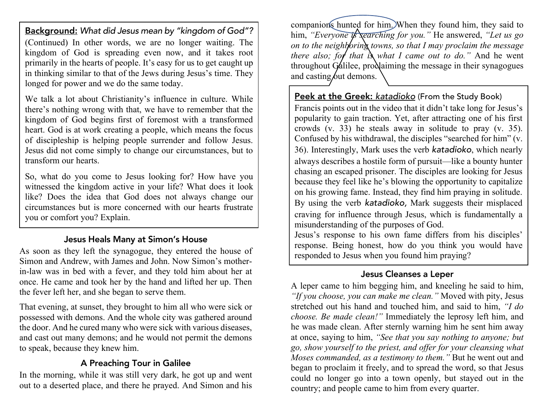Background: *What did Jesus mean by "kingdom of God"?* (Continued) In other words, we are no longer waiting. The kingdom of God is spreading even now, and it takes root primarily in the hearts of people. It's easy for us to get caught up in thinking similar to that of the Jews during Jesus's time. They longed for power and we do the same today.

We talk a lot about Christianity's influence in culture. While there's nothing wrong with that, we have to remember that the kingdom of God begins first of foremost with a transformed heart. God is at work creating a people, which means the focus of discipleship is helping people surrender and follow Jesus. Jesus did not come simply to change our circumstances, but to transform our hearts.

So, what do you come to Jesus looking for? How have you witnessed the kingdom active in your life? What does it look like? Does the idea that God does not always change our circumstances but is more concerned with our hearts frustrate you or comfort you? Explain.

### Jesus Heals Many at Simon's House

As soon as they left the synagogue, they entered the house of Simon and Andrew, with James and John. Now Simon's motherin-law was in bed with a fever, and they told him about her at once. He came and took her by the hand and lifted her up. Then the fever left her, and she began to serve them.

That evening, at sunset, they brought to him all who were sick or possessed with demons. And the whole city was gathered around the door. And he cured many who were sick with various diseases, and cast out many demons; and he would not permit the demons to speak, because they knew him.

### A Preaching Tour in Galilee

In the morning, while it was still very dark, he got up and went out to a deserted place, and there he prayed. And Simon and his companions hunted for him. When they found him, they said to him, *"Everyone is searching for you."* He answered, *"Let us go on to the neighboring towns, so that I may proclaim the message there also; for that is what I came out to do."* And he went throughout Galilee, prodlaiming the message in their synagogues and casting  $\sqrt{b}$ ut demons.

Peek at the Greek: *katadioko* (From the Study Book)

Francis points out in the video that it didn't take long for Jesus's popularity to gain traction. Yet, after attracting one of his first crowds (v. 33) he steals away in solitude to pray (v. 35). Confused by his withdrawal, the disciples "searched for him" (v. 36). Interestingly, Mark uses the verb *katadioko*, which nearly always describes a hostile form of pursuit—like a bounty hunter chasing an escaped prisoner. The disciples are looking for Jesus because they feel like he's blowing the opportunity to capitalize on his growing fame. Instead, they find him praying in solitude. By using the verb *katadioko,* Mark suggests their misplaced craving for influence through Jesus, which is fundamentally a misunderstanding of the purposes of God.

Jesus's response to his own fame differs from his disciples' response. Being honest, how do you think you would have responded to Jesus when you found him praying?

### Jesus Cleanses a Leper

A leper came to him begging him, and kneeling he said to him, *"If you choose, you can make me clean."* Moved with pity, Jesus stretched out his hand and touched him, and said to him, *"I do choose. Be made clean!"* Immediately the leprosy left him, and he was made clean. After sternly warning him he sent him away at once, saying to him, *"See that you say nothing to anyone; but go, show yourself to the priest, and offer for your cleansing what Moses commanded, as a testimony to them."* But he went out and began to proclaim it freely, and to spread the word, so that Jesus could no longer go into a town openly, but stayed out in the country; and people came to him from every quarter.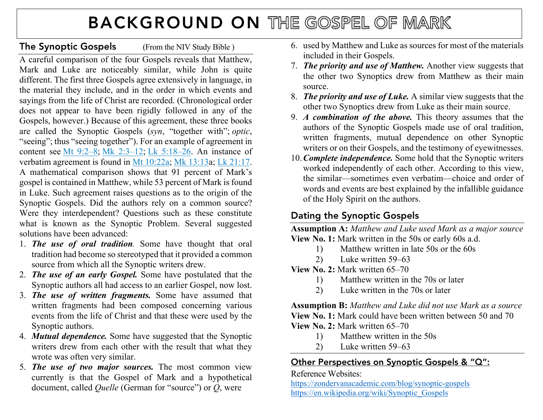## BACKGROUND ON THE GOSPEL OF MARK

### The Synoptic Gospels (From the NIV Study Bible)

A careful comparison of the four Gospels reveals that Matthew, Mark and Luke are noticeably similar, while John is quite different. The first three Gospels agree extensively in language, in the material they include, and in the order in which events and sayings from the life of Christ are recorded. (Chronological order does not appear to have been rigidly followed in any of the Gospels, however.) Because of this agreement, these three books are called the Synoptic Gospels (*syn*, "together with"; *optic*, "seeing"; thus "seeing together"). For an example of agreement in content see Mt 9:2–8; Mk 2:3–12; Lk 5:18–26. An instance of verbatim agreement is found in Mt 10:22a, Mk 13:13a; Lk 21:17. A mathematical comparison shows that 91 percent of Mark's gospel is contained in Matthew, while 53 percent of Mark is found in Luke. Such agreement raises questions as to the origin of the Synoptic Gospels. Did the authors rely on a common source? Were they interdependent? Questions such as these constitute what is known as the Synoptic Problem. Several suggested solutions have been advanced:

- 1. *The use of oral tradition.* Some have thought that oral tradition had become so stereotyped that it provided a common source from which all the Synoptic writers drew.
- 2. *The use of an early Gospel.* Some have postulated that the Synoptic authors all had access to an earlier Gospel, now lost.
- 3. *The use of written fragments.* Some have assumed that written fragments had been composed concerning various events from the life of Christ and that these were used by the Synoptic authors.
- 4. *Mutual dependence.* Some have suggested that the Synoptic writers drew from each other with the result that what they wrote was often very similar.
- 5. *The use of two major sources.* The most common view currently is that the Gospel of Mark and a hypothetical document, called *Quelle* (German for "source") or *Q*, were
- 6. used by Matthew and Luke as sources for most of the materials included in their Gospels.
- 7. *The priority and use of Matthew.* Another view suggests that the other two Synoptics drew from Matthew as their main source.
- 8. *The priority and use of Luke.* A similar view suggests that the other two Synoptics drew from Luke as their main source.
- 9. *A combination of the above.* This theory assumes that the authors of the Synoptic Gospels made use of oral tradition, written fragments, mutual dependence on other Synoptic writers or on their Gospels, and the testimony of eyewitnesses.
- 10.*Complete independence.* Some hold that the Synoptic writers worked independently of each other. According to this view, the similar—sometimes even verbatim—choice and order of words and events are best explained by the infallible guidance of the Holy Spirit on the authors.

### Dating the Synoptic Gospels

**Assumption A:** *Matthew and Luke used Mark as a major source* **View No. 1:** Mark written in the 50s or early 60s a.d.

- 1) Matthew written in late 50s or the 60s
- 2) Luke written 59–63
- **View No. 2:** Mark written 65–70
	- 1) Matthew written in the 70s or later
	- 2) Luke written in the 70s or later

**Assumption B:** *Matthew and Luke did not use Mark as a source* **View No. 1:** Mark could have been written between 50 and 70 **View No. 2:** Mark written 65–70

- 1) Matthew written in the 50s
- 2) Luke written 59–63

### Other Perspectives on Synoptic Gospels & "Q":

Reference Websites:

https://zondervanacademic.com/blog/synoptic-gospels https://en.wikipedia.org/wiki/Synoptic\_Gospels